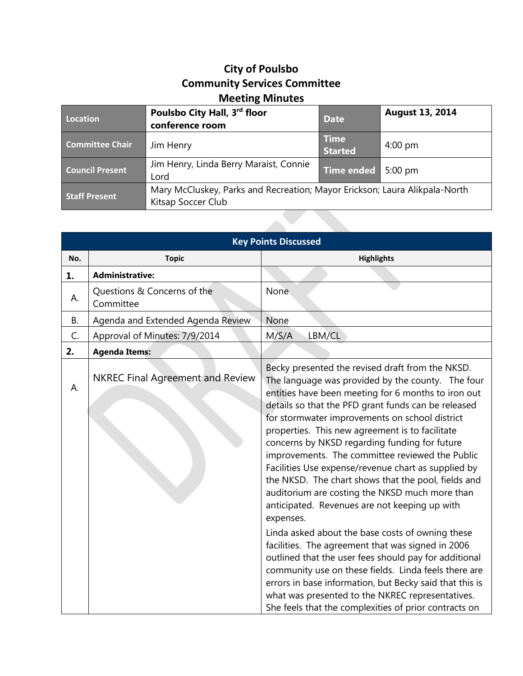## **City of Poulsbo Community Services Committee Meeting Minutes**

| Location               | Poulsbo City Hall, 3 <sup>rd</sup> floor<br>conference room                                      | <b>Date</b>                   | <b>August 13, 2014</b> |
|------------------------|--------------------------------------------------------------------------------------------------|-------------------------------|------------------------|
| <b>Committee Chair</b> | Jim Henry                                                                                        | <b>Time</b><br><b>Started</b> | $4:00 \text{ pm}$      |
| <b>Council Present</b> | Jim Henry, Linda Berry Maraist, Connie<br>Lord                                                   | <b>Time ended</b>             | $5:00$ pm              |
| <b>Staff Present</b>   | Mary McCluskey, Parks and Recreation; Mayor Erickson; Laura Alikpala-North<br>Kitsap Soccer Club |                               |                        |
|                        |                                                                                                  |                               |                        |

| <b>Key Points Discussed</b> |                                          |                                                                                                                                                                                                                                                                                                                                                                                                                                                                                                                                                                                                                                                            |  |
|-----------------------------|------------------------------------------|------------------------------------------------------------------------------------------------------------------------------------------------------------------------------------------------------------------------------------------------------------------------------------------------------------------------------------------------------------------------------------------------------------------------------------------------------------------------------------------------------------------------------------------------------------------------------------------------------------------------------------------------------------|--|
| No.                         | <b>Topic</b>                             | <b>Highlights</b>                                                                                                                                                                                                                                                                                                                                                                                                                                                                                                                                                                                                                                          |  |
| 1.                          | <b>Administrative:</b>                   |                                                                                                                                                                                                                                                                                                                                                                                                                                                                                                                                                                                                                                                            |  |
| А.                          | Questions & Concerns of the<br>Committee | None.                                                                                                                                                                                                                                                                                                                                                                                                                                                                                                                                                                                                                                                      |  |
| <b>B.</b>                   | Agenda and Extended Agenda Review        | None                                                                                                                                                                                                                                                                                                                                                                                                                                                                                                                                                                                                                                                       |  |
| C.                          | Approval of Minutes: 7/9/2014            | LBM/CL<br>M/S/A                                                                                                                                                                                                                                                                                                                                                                                                                                                                                                                                                                                                                                            |  |
| 2.                          | <b>Agenda Items:</b>                     |                                                                                                                                                                                                                                                                                                                                                                                                                                                                                                                                                                                                                                                            |  |
| А.                          | <b>NKREC Final Agreement and Review</b>  | Becky presented the revised draft from the NKSD.<br>The language was provided by the county. The four<br>entities have been meeting for 6 months to iron out<br>details so that the PFD grant funds can be released<br>for stormwater improvements on school district<br>properties. This new agreement is to facilitate<br>concerns by NKSD regarding funding for future<br>improvements. The committee reviewed the Public<br>Facilities Use expense/revenue chart as supplied by<br>the NKSD. The chart shows that the pool, fields and<br>auditorium are costing the NKSD much more than<br>anticipated. Revenues are not keeping up with<br>expenses. |  |
|                             |                                          | Linda asked about the base costs of owning these<br>facilities. The agreement that was signed in 2006<br>outlined that the user fees should pay for additional<br>community use on these fields. Linda feels there are<br>errors in base information, but Becky said that this is<br>what was presented to the NKREC representatives.<br>She feels that the complexities of prior contracts on                                                                                                                                                                                                                                                             |  |